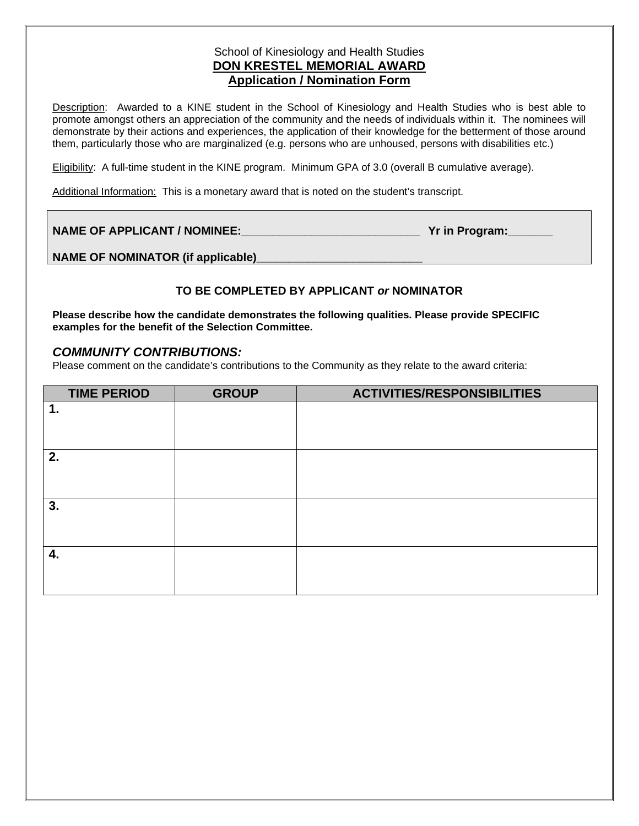# School of Kinesiology and Health Studies **DON KRESTEL MEMORIAL AWARD Application / Nomination Form**

Description: Awarded to a KINE student in the School of Kinesiology and Health Studies who is best able to promote amongst others an appreciation of the community and the needs of individuals within it. The nominees will demonstrate by their actions and experiences, the application of their knowledge for the betterment of those around them, particularly those who are marginalized (e.g. persons who are unhoused, persons with disabilities etc.)

Eligibility: A full-time student in the KINE program. Minimum GPA of 3.0 (overall B cumulative average).

Additional Information: This is a monetary award that is noted on the student's transcript.

| <b>NAME OF APPLICANT / NOMINEE:</b> | Yr in Program: |
|-------------------------------------|----------------|
|-------------------------------------|----------------|

NAME OF NOMINATOR (if applicable)

## **TO BE COMPLETED BY APPLICANT** *or* **NOMINATOR**

**Please describe how the candidate demonstrates the following qualities. Please provide SPECIFIC examples for the benefit of the Selection Committee.**

### *COMMUNITY CONTRIBUTIONS:*

Please comment on the candidate's contributions to the Community as they relate to the award criteria:

| <b>TIME PERIOD</b> | <b>GROUP</b> | <b>ACTIVITIES/RESPONSIBILITIES</b> |
|--------------------|--------------|------------------------------------|
| 1.                 |              |                                    |
|                    |              |                                    |
|                    |              |                                    |
| 2.                 |              |                                    |
|                    |              |                                    |
|                    |              |                                    |
| 3.                 |              |                                    |
|                    |              |                                    |
|                    |              |                                    |
| 4.                 |              |                                    |
|                    |              |                                    |
|                    |              |                                    |
|                    |              |                                    |